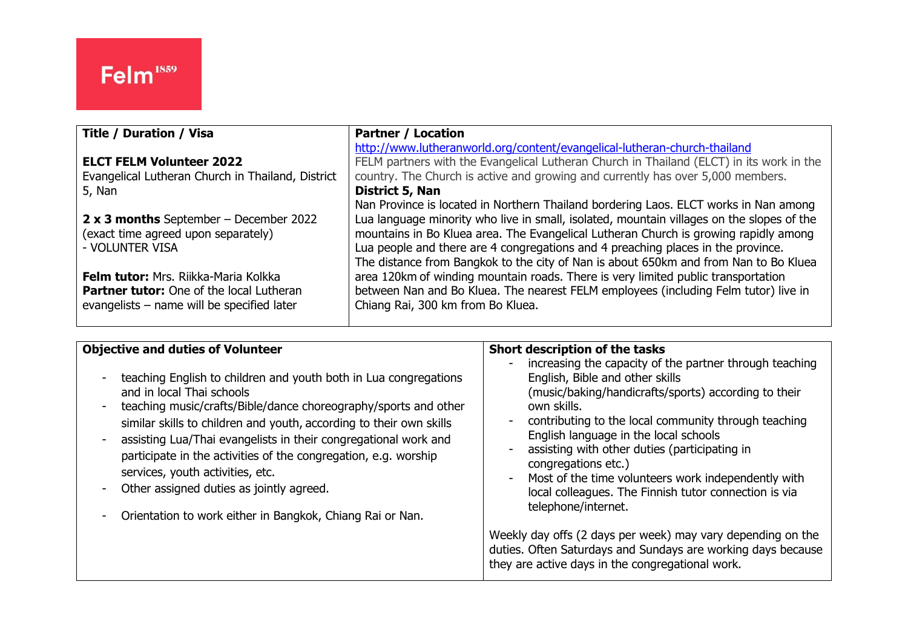| <b>Title / Duration / Visa</b>                    | <b>Partner / Location</b>                                                                 |
|---------------------------------------------------|-------------------------------------------------------------------------------------------|
|                                                   | http://www.lutheranworld.org/content/evangelical-lutheran-church-thailand                 |
| <b>ELCT FELM Volunteer 2022</b>                   | FELM partners with the Evangelical Lutheran Church in Thailand (ELCT) in its work in the  |
| Evangelical Lutheran Church in Thailand, District | country. The Church is active and growing and currently has over 5,000 members.           |
| 5, Nan                                            | District 5, Nan                                                                           |
|                                                   | Nan Province is located in Northern Thailand bordering Laos. ELCT works in Nan among      |
| 2 x 3 months September – December 2022            | Lua language minority who live in small, isolated, mountain villages on the slopes of the |
| (exact time agreed upon separately)               | mountains in Bo Kluea area. The Evangelical Lutheran Church is growing rapidly among      |
| - VOLUNTER VISA                                   | Lua people and there are 4 congregations and 4 preaching places in the province.          |
|                                                   | The distance from Bangkok to the city of Nan is about 650km and from Nan to Bo Kluea      |
| <b>Felm tutor:</b> Mrs. Riikka-Maria Kolkka       | area 120km of winding mountain roads. There is very limited public transportation         |
| <b>Partner tutor:</b> One of the local Lutheran   | between Nan and Bo Kluea. The nearest FELM employees (including Felm tutor) live in       |
| evangelists - name will be specified later        | Chiang Rai, 300 km from Bo Kluea.                                                         |
|                                                   |                                                                                           |

| <b>Objective and duties of Volunteer</b><br>teaching English to children and youth both in Lua congregations<br>and in local Thai schools<br>teaching music/crafts/Bible/dance choreography/sports and other<br>similar skills to children and youth, according to their own skills<br>assisting Lua/Thai evangelists in their congregational work and<br>participate in the activities of the congregation, e.g. worship<br>services, youth activities, etc.<br>Other assigned duties as jointly agreed.<br>Orientation to work either in Bangkok, Chiang Rai or Nan. | Short description of the tasks<br>increasing the capacity of the partner through teaching<br>English, Bible and other skills<br>(music/baking/handicrafts/sports) according to their<br>own skills.<br>contributing to the local community through teaching<br>English language in the local schools<br>assisting with other duties (participating in<br>congregations etc.)<br>Most of the time volunteers work independently with<br>local colleagues. The Finnish tutor connection is via<br>telephone/internet.<br>Weekly day offs (2 days per week) may vary depending on the<br>duties. Often Saturdays and Sundays are working days because<br>they are active days in the congregational work. |
|------------------------------------------------------------------------------------------------------------------------------------------------------------------------------------------------------------------------------------------------------------------------------------------------------------------------------------------------------------------------------------------------------------------------------------------------------------------------------------------------------------------------------------------------------------------------|--------------------------------------------------------------------------------------------------------------------------------------------------------------------------------------------------------------------------------------------------------------------------------------------------------------------------------------------------------------------------------------------------------------------------------------------------------------------------------------------------------------------------------------------------------------------------------------------------------------------------------------------------------------------------------------------------------|
|                                                                                                                                                                                                                                                                                                                                                                                                                                                                                                                                                                        |                                                                                                                                                                                                                                                                                                                                                                                                                                                                                                                                                                                                                                                                                                        |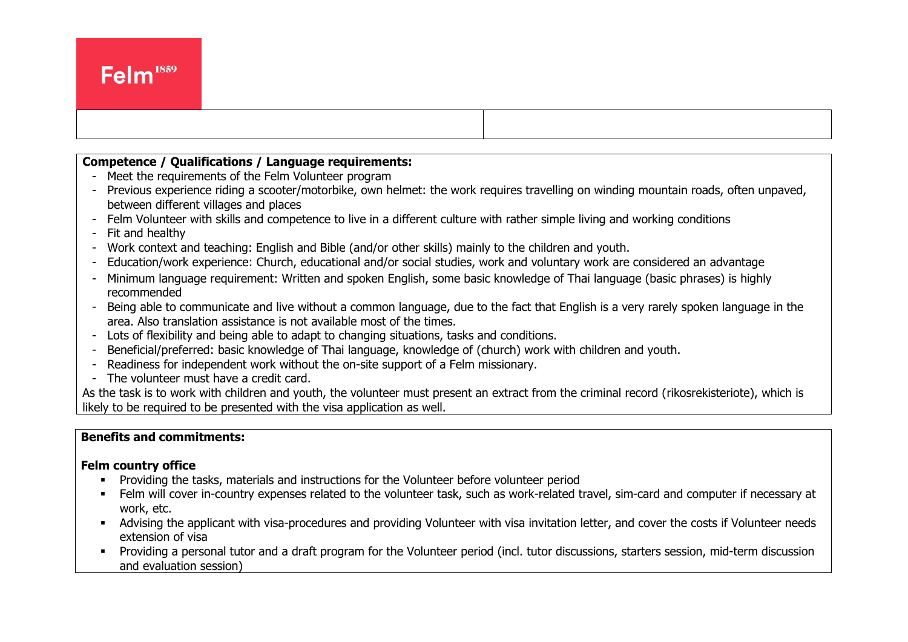# **Competence / Qualifications / Language requirements:**

- Meet the requirements of the Felm Volunteer program

 $\overline{a}$ 

- Previous experience riding a scooter/motorbike, own helmet: the work requires travelling on winding mountain roads, often unpaved, between different villages and places
- Felm Volunteer with skills and competence to live in a different culture with rather simple living and working conditions
- Fit and healthy
- Work context and teaching: English and Bible (and/or other skills) mainly to the children and youth.
- Education/work experience: Church, educational and/or social studies, work and voluntary work are considered an advantage
- Minimum language requirement: Written and spoken English, some basic knowledge of Thai language (basic phrases) is highly recommended
- Being able to communicate and live without a common language, due to the fact that English is a very rarely spoken language in the area. Also translation assistance is not available most of the times.
- Lots of flexibility and being able to adapt to changing situations, tasks and conditions.
- Beneficial/preferred: basic knowledge of Thai language, knowledge of (church) work with children and youth.
- Readiness for independent work without the on-site support of a Felm missionary.
- The volunteer must have a credit card.

As the task is to work with children and youth, the volunteer must present an extract from the criminal record (rikosrekisteriote), which is likely to be required to be presented with the visa application as well.

## **Benefits and commitments:**

#### **Felm country office**

- **•** Providing the tasks, materials and instructions for the Volunteer before volunteer period
- Felm will cover in-country expenses related to the volunteer task, such as work-related travel, sim-card and computer if necessary at work, etc.
- Advising the applicant with visa-procedures and providing Volunteer with visa invitation letter, and cover the costs if Volunteer needs extension of visa
- Providing a personal tutor and a draft program for the Volunteer period (incl. tutor discussions, starters session, mid-term discussion and evaluation session)